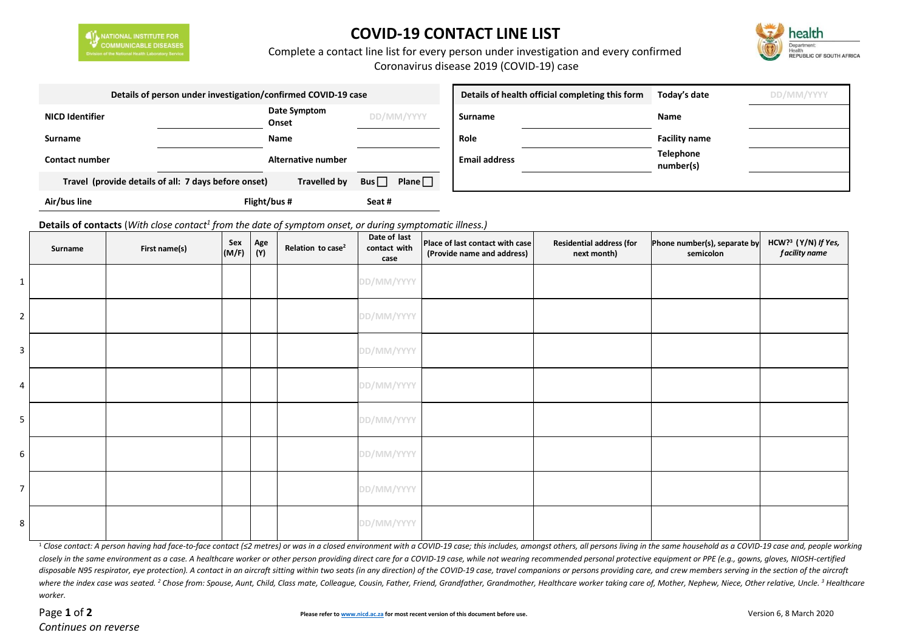

## **COVID-19 CONTACT LINE LIST**



## Complete a contact line list for every person under investigation and every confirmed

Coronavirus disease 2019 (COVID-19) case

|                        | Details of person under investigation/confirmed COVID-19 case |                     |            | Details of health official completing this form | Today's date         | DD/MM/YYYY |                               |  |
|------------------------|---------------------------------------------------------------|---------------------|------------|-------------------------------------------------|----------------------|------------|-------------------------------|--|
| <b>NICD Identifier</b> | Date Symptom<br>Onset                                         |                     | DD/MM/YYYY |                                                 | <b>Surname</b>       |            | <b>Name</b>                   |  |
| Surname                | Name                                                          |                     |            |                                                 | Role                 |            | <b>Facility name</b>          |  |
| <b>Contact number</b>  |                                                               | Alternative number  |            |                                                 | <b>Email address</b> |            | <b>Telephone</b><br>number(s) |  |
|                        | Travel (provide details of all: 7 days before onset)          | <b>Travelled by</b> | Bus        | Plane $\Box$                                    |                      |            |                               |  |
| Air/bus line           | Flight/bus #                                                  |                     | Seat #     |                                                 |                      |            |                               |  |

**Details of contacts** (*With close contact<sup>1</sup> from the date of symptom onset, or during symptomatic illness.)*

|                | Surname | First name(s) | Sex<br>(M/F) | Age<br>(Y) | Relation to case <sup>2</sup> | Date of last<br>contact with<br>case | Place of last contact with case<br>(Provide name and address) | <b>Residential address (for</b><br>next month) | Phone number(s), separate by<br>semicolon | HCW? <sup>3</sup> (Y/N) If Yes,<br>f acility name |
|----------------|---------|---------------|--------------|------------|-------------------------------|--------------------------------------|---------------------------------------------------------------|------------------------------------------------|-------------------------------------------|---------------------------------------------------|
| $\mathbf{1}$   |         |               |              |            |                               | DD/MM/YYYY                           |                                                               |                                                |                                           |                                                   |
| $\overline{2}$ |         |               |              |            |                               | DD/MM/YYYY                           |                                                               |                                                |                                           |                                                   |
| 3 <sup>1</sup> |         |               |              |            |                               | DD/MM/YYYY                           |                                                               |                                                |                                           |                                                   |
| $\overline{4}$ |         |               |              |            |                               | DD/MM/YYYY                           |                                                               |                                                |                                           |                                                   |
| 5 <sub>1</sub> |         |               |              |            |                               | DD/MM/YYYY                           |                                                               |                                                |                                           |                                                   |
| 6 <sup>1</sup> |         |               |              |            |                               | DD/MM/YYYY                           |                                                               |                                                |                                           |                                                   |
| 7 <sup>1</sup> |         |               |              |            |                               | DD/MM/YYYY                           |                                                               |                                                |                                           |                                                   |
| 8 <sup>1</sup> |         |               |              |            |                               | DD/MM/YYYY                           |                                                               |                                                |                                           |                                                   |

<sup>1</sup> Close contact: A person havina had face-to-face contact (≤2 metres) or was in a closed environment with a COVID-19 case: this includes, amonast others, all persons livina in the same household as a COVID-19 case and, p closely in the same environment as a case. A healthcare worker or other person providing direct care for a COVID-19 case, while not wearing recommended personal protective equipment or PPE (e.q., gowns, gloves, NIOSH-certi disposable N95 respirator, eye protection). A contact in an aircraft sitting within two seats (in any direction) of the COVID-19 case, travel companions or persons providing care, and crew members serving in the section of where the index case was seated. <sup>2</sup> Chose from: Spouse, Aunt, Child, Class mate, Colleague, Cousin, Father, Friend, Grandfather, Grandmother, Healthcare worker taking care of, Mother, Nephew, Niece, Other relative, Uncle. *worker.*